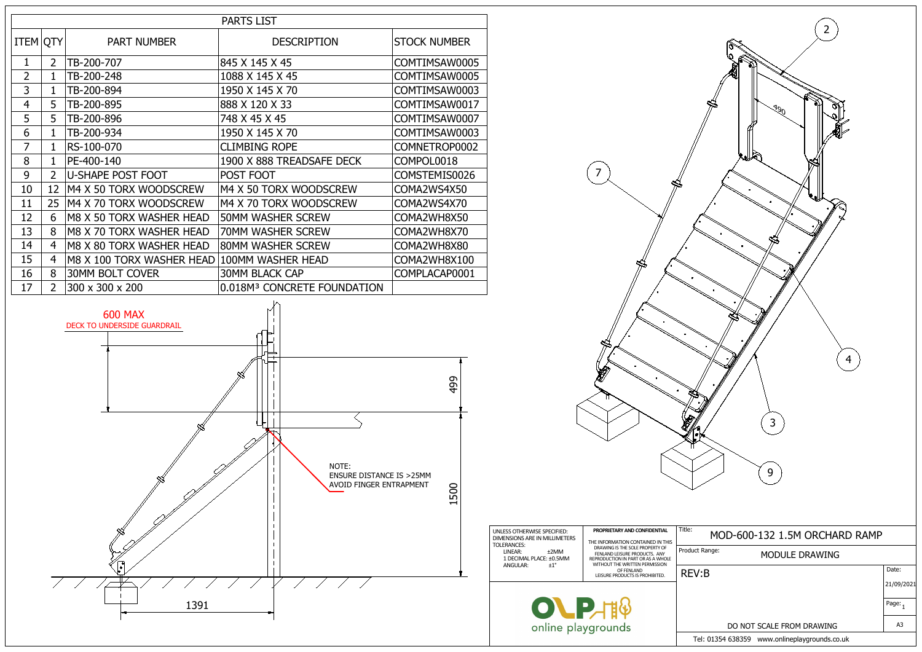

Tel: 01354 638359 www.onlineplaygrounds.co.uk

| $\overline{2}$<br>J90<br>4<br>3<br>9 |            |
|--------------------------------------|------------|
| MOD-600-132 1.5M ORCHARD RAMP        |            |
| ct Range:<br>MODULE DRAWING          |            |
| V:B                                  | Date:      |
|                                      | 21/09/2021 |
|                                      | Page: $_1$ |
| DO NOT SCALE FROM DRAWING            | A3         |



Produc **PROPRIETARY AND CONFIDENTIAL** THE INFORMATION CONTAINED IN THIS<br>DRAWING IS THE SOLE PROPERTY OF FENLAND LEISURE PRODUCTS. ANY REPRODUCTION IN PART OR AS A WHOLE WITHOUT THE WRITTEN PERMISSION OF FENLAND<br>LEISURE PRODUCTS IS PROHIBITED. Title:  $REV$